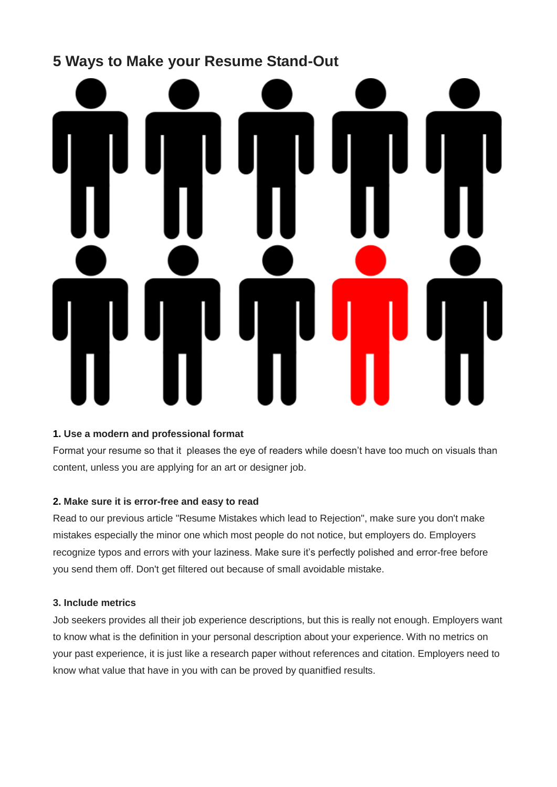# **5 Ways to Make your Resume Stand-Out**

# **1. Use a modern and professional format**

Format your resume so that it pleases the eye of readers while doesn't have too much on visuals than content, unless you are applying for an art or designer job.

# **2. Make sure it is error-free and easy to read**

Read to our previous article "Resume Mistakes which lead to Rejection", make sure you don't make mistakes especially the minor one which most people do not notice, but employers do. Employers recognize typos and errors with your laziness. Make sure it's perfectly polished and error-free before you send them off. Don't get filtered out because of small avoidable mistake.

# **3. Include metrics**

Job seekers provides all their job experience descriptions, but this is really not enough. Employers want to know what is the definition in your personal description about your experience. With no metrics on your past experience, it is just like a research paper without references and citation. Employers need to know what value that have in you with can be proved by quanitfied results.